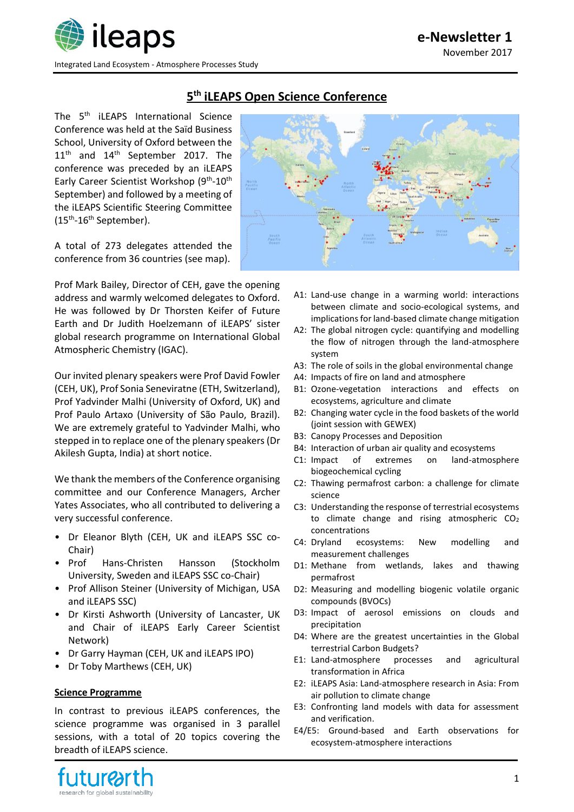

**e-Newsletter 1** November 2017

# **5 th iLEAPS Open Science Conference**

The 5<sup>th</sup> iLEAPS International Science Conference was held at the Saïd Business School, University of Oxford between the 11<sup>th</sup> and 14<sup>th</sup> September 2017. The conference was preceded by an iLEAPS Early Career Scientist Workshop (9<sup>th</sup>-10<sup>th</sup> September) and followed by a meeting of the iLEAPS Scientific Steering Committee (15<sup>th</sup>-16<sup>th</sup> September).

A total of 273 delegates attended the conference from 36 countries (see map).

Prof Mark Bailey, Director of CEH, gave the opening address and warmly welcomed delegates to Oxford. He was followed by Dr Thorsten Keifer of Future Earth and Dr Judith Hoelzemann of iLEAPS' sister global research programme on International Global Atmospheric Chemistry (IGAC).

Our invited plenary speakers were Prof David Fowler (CEH, UK), Prof Sonia Seneviratne (ETH, Switzerland), Prof Yadvinder Malhi (University of Oxford, UK) and Prof Paulo Artaxo (University of São Paulo, Brazil). We are extremely grateful to Yadvinder Malhi, who stepped in to replace one of the plenary speakers (Dr Akilesh Gupta, India) at short notice.

We thank the members of the Conference organising committee and our Conference Managers, Archer Yates Associates, who all contributed to delivering a very successful conference.

- Dr Eleanor Blyth (CEH, UK and iLEAPS SSC co-Chair)
- Prof Hans-Christen Hansson (Stockholm University, Sweden and iLEAPS SSC co-Chair)
- Prof Allison Steiner (University of Michigan, USA and iLEAPS SSC)
- Dr Kirsti Ashworth (University of Lancaster, UK and Chair of iLEAPS Early Career Scientist Network)
- Dr Garry Hayman (CEH, UK and iLEAPS IPO)
- Dr Toby Marthews (CEH, UK)

### **Science Programme**

In contrast to previous iLEAPS conferences, the science programme was organised in 3 parallel sessions, with a total of 20 topics covering the breadth of iLEAPS science.





- A1: Land-use change in a warming world: interactions between climate and socio-ecological systems, and implications for land-based climate change mitigation
- A2: The global nitrogen cycle: quantifying and modelling the flow of nitrogen through the land-atmosphere system
- A3: The role of soils in the global environmental change
- A4: Impacts of fire on land and atmosphere
- B1: Ozone-vegetation interactions and effects on ecosystems, agriculture and climate
- B2: Changing water cycle in the food baskets of the world (joint session with GEWEX)
- B3: Canopy Processes and Deposition
- B4: Interaction of urban air quality and ecosystems
- C1: Impact of extremes on land-atmosphere biogeochemical cycling
- C2: Thawing permafrost carbon: a challenge for climate science
- C3: Understanding the response of terrestrial ecosystems to climate change and rising atmospheric CO<sup>2</sup> concentrations
- C4: Dryland ecosystems: New modelling and measurement challenges
- D1: Methane from wetlands, lakes and thawing permafrost
- D2: Measuring and modelling biogenic volatile organic compounds (BVOCs)
- D3: Impact of aerosol emissions on clouds and precipitation
- D4: Where are the greatest uncertainties in the Global terrestrial Carbon Budgets?
- E1: Land-atmosphere processes and agricultural transformation in Africa
- E2: iLEAPS Asia: Land-atmosphere research in Asia: From air pollution to climate change
- E3: Confronting land models with data for assessment and verification.
- E4/E5: Ground-based and Earth observations for ecosystem-atmosphere interactions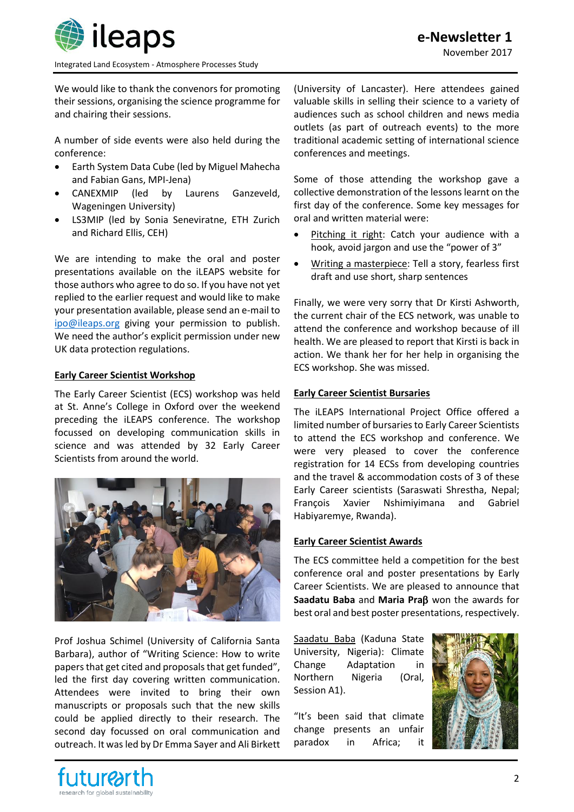

**e-Newsletter 1** November 2017

Integrated Land Ecosystem - Atmosphere Processes Study

We would like to thank the convenors for promoting their sessions, organising the science programme for and chairing their sessions.

A number of side events were also held during the conference:

- Earth System Data Cube (led by Miguel Mahecha and Fabian Gans, MPI-Jena)
- CANEXMIP (led by Laurens Ganzeveld, Wageningen University)
- LS3MIP (led by Sonia Seneviratne, ETH Zurich and Richard Ellis, CEH)

We are intending to make the oral and poster presentations available on the iLEAPS website for those authors who agree to do so. If you have not yet replied to the earlier request and would like to make your presentation available, please send an e-mail to [ipo@ileaps.org](mailto:ipo@ileaps.org) giving your permission to publish. We need the author's explicit permission under new UK data protection regulations.

## **Early Career Scientist Workshop**

The Early Career Scientist (ECS) workshop was held at St. Anne's College in Oxford over the weekend preceding the iLEAPS conference. The workshop focussed on developing communication skills in science and was attended by 32 Early Career Scientists from around the world.



Prof Joshua Schimel (University of California Santa Barbara), author of "Writing Science: How to write papers that get cited and proposals that get funded", led the first day covering written communication. Attendees were invited to bring their own manuscripts or proposals such that the new skills could be applied directly to their research. The second day focussed on oral communication and outreach. It was led by Dr Emma Sayer and Ali Birkett

(University of Lancaster). Here attendees gained valuable skills in selling their science to a variety of audiences such as school children and news media outlets (as part of outreach events) to the more traditional academic setting of international science conferences and meetings.

Some of those attending the workshop gave a collective demonstration of the lessons learnt on the first day of the conference. Some key messages for oral and written material were:

- Pitching it right: Catch your audience with a hook, avoid jargon and use the "power of 3"
- Writing a masterpiece: Tell a story, fearless first draft and use short, sharp sentences

Finally, we were very sorry that Dr Kirsti Ashworth, the current chair of the ECS network, was unable to attend the conference and workshop because of ill health. We are pleased to report that Kirsti is back in action. We thank her for her help in organising the ECS workshop. She was missed.

### **Early Career Scientist Bursaries**

The iLEAPS International Project Office offered a limited number of bursaries to Early Career Scientists to attend the ECS workshop and conference. We were very pleased to cover the conference registration for 14 ECSs from developing countries and the travel & accommodation costs of 3 of these Early Career scientists (Saraswati Shrestha, Nepal; François Xavier Nshimiyimana and Gabriel Habiyaremye, Rwanda).

### **Early Career Scientist Awards**

The ECS committee held a competition for the best conference oral and poster presentations by Early Career Scientists. We are pleased to announce that **Saadatu Baba** and Maria Praß won the awards for best oral and best poster presentations, respectively.

Saadatu Baba (Kaduna State University, Nigeria): Climate Change Adaptation in Northern Nigeria (Oral, Session A1).

"It's been said that climate change presents an unfair paradox in Africa; it



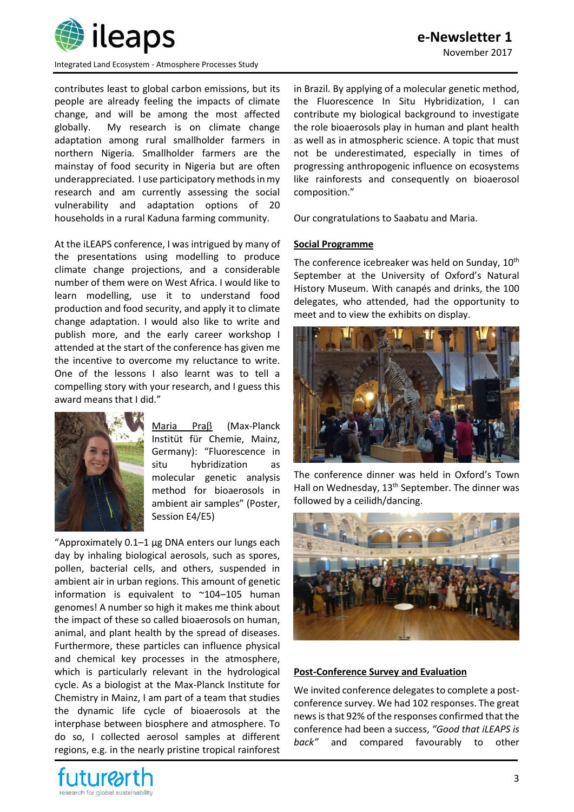

Integrated Land Ecosystem - Atmosphere Processes Study

contributes least to global carbon emissions, but its people are already feeling the impacts of climate change, and will be among the most affected globally. My research is on climate change adaptation among rural smallholder farmers in northern Nigeria. Smallholder farmers are the mainstay of food security in Nigeria but are often underappreciated. I use participatory methods in my research and am currently assessing the social vulnerability and adaptation options of 20 households in a rural Kaduna farming community.

At the iLEAPS conference, I was intrigued by many of the presentations using modelling to produce climate change projections, and a considerable number of them were on West Africa. I would like to learn modelling, use it to understand food production and food security, and apply it to climate change adaptation. I would also like to write and publish more, and the early career workshop I attended at the start of the conference has given me the incentive to overcome my reluctance to write. One of the lessons I also learnt was to tell a compelling story with your research, and I guess this award means that I did."



Maria Pra $\beta$  (Max-Planck Institüt für Chemie, Mainz, Germany): "Fluorescence in situ hybridization as molecular genetic analysis method for bioaerosols in ambient air samples" (Poster, Session E4/E5)

"Approximately 0.1–1 μg DNA enters our lungs each day by inhaling biological aerosols, such as spores, pollen, bacterial cells, and others, suspended in ambient air in urban regions. This amount of genetic information is equivalent to ~104–105 human genomes! A number so high it makes me think about the impact of these so called bioaerosols on human, animal, and plant health by the spread of diseases. Furthermore, these particles can influence physical and chemical key processes in the atmosphere, which is particularly relevant in the hydrological cycle. As a biologist at the Max-Planck Institute for Chemistry in Mainz, I am part of a team that studies the dynamic life cycle of bioaerosols at the interphase between biosphere and atmosphere. To do so, I collected aerosol samples at different regions, e.g. in the nearly pristine tropical rainforest

in Brazil. By applying of a molecular genetic method, the Fluorescence In Situ Hybridization, I can contribute my biological background to investigate the role bioaerosols play in human and plant health as well as in atmospheric science. A topic that must not be underestimated, especially in times of progressing anthropogenic influence on ecosystems like rainforests and consequently on bioaerosol composition."

Our congratulations to Saabatu and Maria.

#### **Social Programme**

The conference icebreaker was held on Sunday, 10<sup>th</sup> September at the University of Oxford's Natural History Museum. With canapés and drinks, the 100 delegates, who attended, had the opportunity to meet and to view the exhibits on display.



The conference dinner was held in Oxford's Town Hall on Wednesday, 13<sup>th</sup> September. The dinner was followed by a ceilidh/dancing.



## **Post-Conference Survey and Evaluation**

We invited conference delegates to complete a postconference survey. We had 102 responses. The great news is that 92% of the responses confirmed that the conference had been a success, *"Good that iLEAPS is back"* and compared favourably to other